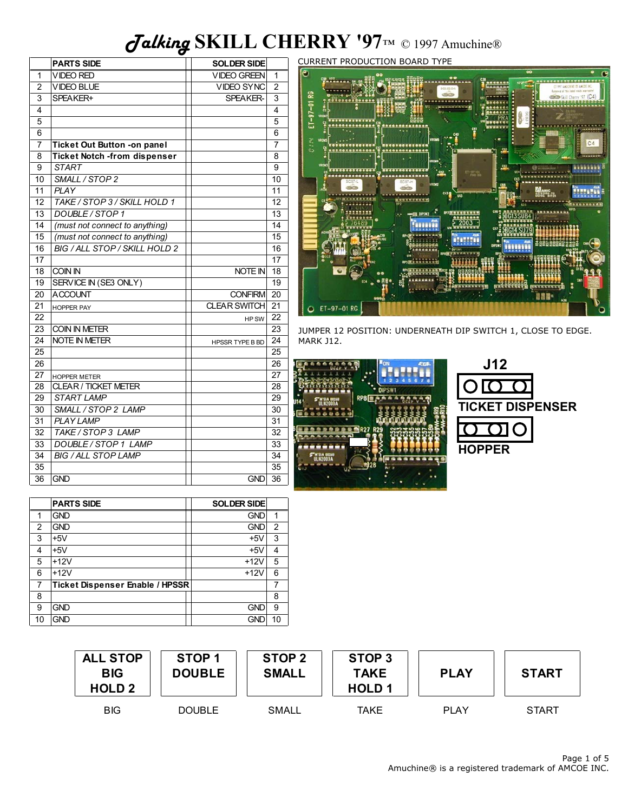# *Talking* **SKILL CHERRY '97**™ © 1997 Amuchine®

|                | <b>PARTS SIDE</b>                   | <b>SOLDER SIDE</b>     |                |
|----------------|-------------------------------------|------------------------|----------------|
| 1              | <b>VIDEO RED</b>                    | <b>VIDEO GREEN</b>     | 1              |
| $\overline{2}$ | <b>VIDEO BLUE</b>                   | <b>VIDEO SYNC</b>      | $\overline{2}$ |
| 3              | SPEAKER+                            | <b>SPEAKER-</b>        | 3              |
| 4              |                                     |                        | 4              |
| 5              |                                     |                        | 5              |
| 6              |                                     |                        | 6              |
| $\overline{7}$ | Ticket Out Button -on panel         |                        | $\overline{7}$ |
| 8              | <b>Ticket Notch -from dispenser</b> |                        | 8              |
| 9              | <b>START</b>                        |                        | 9              |
| 10             | SMALL / STOP 2                      |                        | 10             |
| 11             | <b>PLAY</b>                         |                        | 11             |
| 12             | TAKE / STOP 3 / SKILL HOLD 1        |                        | 12             |
| 13             | DOUBLE / STOP 1                     |                        | 13             |
| 14             | (must not connect to anything)      |                        | 14             |
| 15             | (must not connect to anything)      |                        | 15             |
| 16             | BIG / ALL STOP / SKILL HOLD 2       |                        | 16             |
| 17             |                                     |                        | 17             |
| 18             | COIN IN                             | NOTE IN                | 18             |
| 19             | SERVICE IN (SE3 ONLY)               |                        | 19             |
| 20             | <b>ACCOUNT</b>                      | <b>CONFIRM</b>         | 20             |
| 21             | <b>HOPPER PAY</b>                   | <b>CLEAR SWITCH</b>    | 21             |
| 22             |                                     | HP SW                  | 22             |
| 23             | <b>COIN IN METER</b>                |                        | 23             |
| 24             | <b>NOTE IN METER</b>                | <b>HPSSR TYPE B BD</b> | 24             |
| 25             |                                     |                        | 25             |
| 26             |                                     |                        | 26             |
| 27             | <b>HOPPER METER</b>                 |                        | 27             |
| 28             | <b>CLEAR / TICKET METER</b>         |                        | 28             |
| 29             | <b>START LAMP</b>                   |                        | 29             |
| 30             | SMALL / STOP 2 LAMP                 |                        | 30             |
| 31             | <b>PLAY LAMP</b>                    |                        | 31             |
| 32             | TAKE / STOP 3 LAMP                  |                        | 32             |
| 33             | DOUBLE / STOP 1 LAMP                |                        | 33             |
| 34             | <b>BIG / ALL STOP LAMP</b>          |                        | 34             |
| 35             |                                     |                        | 35             |
| 36             | <b>GND</b>                          | <b>GND</b>             | 36             |

CURRENT PRODUCTION BOARD TYPE



JUMPER 12 POSITION: UNDERNEATH DIP SWITCH 1, CLOSE TO EDGE. MARK J12.

|                         | <b>DN</b><br>Ani |
|-------------------------|------------------|
| RP8 <sup>[</sup>        | <b>DIPSW1</b>    |
| II N7003A<br>1000000000 |                  |
| <b>R27 R29</b>          |                  |
| <b>UL N2003A</b>        |                  |
|                         |                  |

| J12                     |  |
|-------------------------|--|
| OIC                     |  |
| <b>TICKET DISPENSER</b> |  |
| $\overline{\mathrm{O}}$ |  |
| <b>HOPPER</b>           |  |

|    | <b>PARTS SIDE</b>               | <b>SOLDER SIDE</b> |                |
|----|---------------------------------|--------------------|----------------|
| 1  | <b>GND</b>                      | <b>GND</b>         | 1              |
| 2  | <b>GND</b>                      | <b>GND</b>         | $\overline{2}$ |
| 3  | $+5V$                           | $+5V$              | 3              |
| 4  | $+5V$                           | $+5V$              | 4              |
| 5  | $+12V$                          | $+12V$             | 5              |
| 6  | $+12V$                          | $+12V$             | 6              |
| 7  | Ticket Dispenser Enable / HPSSR |                    | 7              |
| 8  |                                 |                    | 8              |
| 9  | <b>GND</b>                      | <b>GND</b>         | 9              |
| 10 | <b>GND</b>                      | gni                | 10             |

| <b>ALL STOP</b><br><b>BIG</b><br><b>HOLD 2</b> | STOP <sub>1</sub><br><b>DOUBLE</b> | STOP <sub>2</sub><br><b>SMALL</b> | STOP <sub>3</sub><br><b>TAKE</b><br><b>HOLD1</b> | <b>PLAY</b> | <b>START</b> |
|------------------------------------------------|------------------------------------|-----------------------------------|--------------------------------------------------|-------------|--------------|
| <b>BIG</b>                                     | <b>DOUBLE</b>                      | SMALL                             | TAKE                                             | <b>PIAY</b> | <b>START</b> |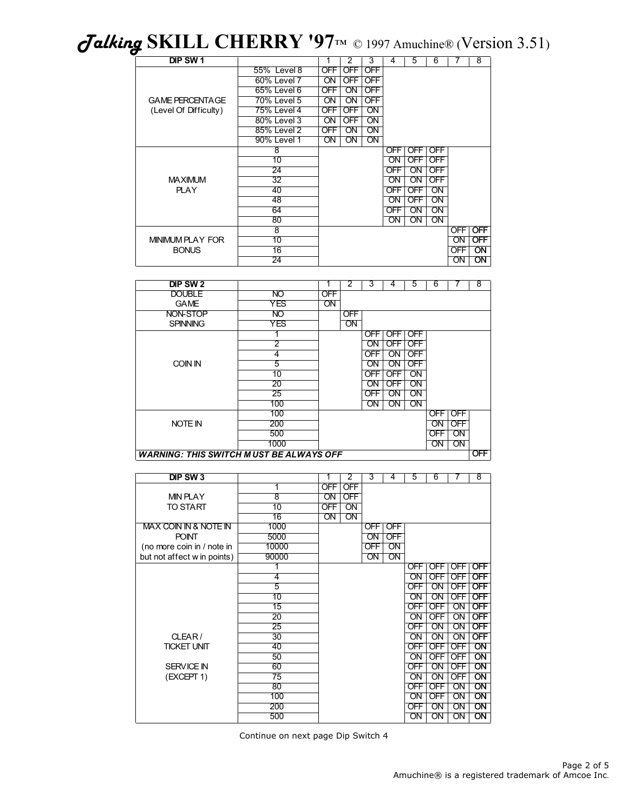*Talking* **SKILL CHERRY '97**™ © 1997 Amuchine® (Version 3.51)

| DIP SW <sub>1</sub>     |                 |                        | 2                      | 3                      | 4          | 5                      | 6                      |                 | 8                      |
|-------------------------|-----------------|------------------------|------------------------|------------------------|------------|------------------------|------------------------|-----------------|------------------------|
|                         | 55% Level 8     | OFF                    | <b>OFF</b>             | <b>OFF</b>             |            |                        |                        |                 |                        |
|                         | 60% Level 7     | $\overline{\text{ON}}$ | <b>OFF</b>             | <b>OFF</b>             |            |                        |                        |                 |                        |
|                         | 65% Level 6     | OFF                    | $\overline{\text{ON}}$ | <b>OFF</b>             |            |                        |                        |                 |                        |
| <b>GAME PERCENTAGE</b>  | 70% Level 5     | ON                     | $\overline{\text{ON}}$ | <b>OFF</b>             |            |                        |                        |                 |                        |
| (Level Of Difficulty)   | 75% Level 4     | <b>OFF</b>             | <b>OFF</b>             | $\overline{ON}$        |            |                        |                        |                 |                        |
|                         | 80% Level 3     | ON                     | <b>OFF</b>             | $\overline{ON}$        |            |                        |                        |                 |                        |
|                         | 85% Level 2     | OFF                    | ON                     | $\overline{ON}$        |            |                        |                        |                 |                        |
|                         | 90% Level 1     | ON                     | $\overline{\text{ON}}$ | $\overline{\text{ON}}$ |            |                        |                        |                 |                        |
|                         | 8               |                        |                        |                        | OFF        | <b>OFF</b>             | <b>OFF</b>             |                 |                        |
|                         | 10              |                        |                        |                        | ON         | OFF                    | <b>OFF</b>             |                 |                        |
|                         | 24              |                        |                        |                        | OFF        | ON                     | <b>OFF</b>             |                 |                        |
| <b>MAXIMUM</b>          | 32              |                        |                        |                        | ON         | $\overline{\text{ON}}$ | <b>OFF</b>             |                 |                        |
| <b>PLAY</b>             | 40              |                        |                        |                        | <b>OFF</b> | <b>OFF</b>             | $\overline{ON}$        |                 |                        |
|                         | 48              |                        |                        |                        | ΟN         | OFF                    | ON                     |                 |                        |
|                         | 64              |                        |                        |                        | OFF        | $\overline{ON}$        | $\overline{\text{ON}}$ |                 |                        |
|                         | 80              |                        |                        |                        | ΟN         | ON                     | $\overline{\text{ON}}$ |                 |                        |
|                         | $\overline{8}$  |                        |                        |                        |            |                        |                        | OFF             | <b>OFF</b>             |
| <b>MINIMUM PLAY FOR</b> | 10              |                        |                        |                        |            |                        |                        | $\overline{ON}$ | <b>OFF</b>             |
| <b>BONUS</b>            | $\overline{16}$ |                        |                        |                        |            |                        |                        | <b>OFF</b>      | ON                     |
|                         | 24              |                        |                        |                        |            |                        |                        | ON              | $\overline{\text{ON}}$ |

| DIP SW <sub>2</sub>                            |                 |            | 2   | 3   | 4               | 5          | 6          |                 | $\overline{8}$ |
|------------------------------------------------|-----------------|------------|-----|-----|-----------------|------------|------------|-----------------|----------------|
| <b>DOUBLE</b>                                  | $\overline{NO}$ | <b>OFF</b> |     |     |                 |            |            |                 |                |
| <b>GAME</b>                                    | <b>YES</b>      | ON         |     |     |                 |            |            |                 |                |
| NON-STOP                                       | $\overline{NO}$ |            | OFF |     |                 |            |            |                 |                |
| <b>SPINNING</b>                                | <b>YES</b>      |            | ON  |     |                 |            |            |                 |                |
|                                                |                 |            |     | OFF | <b>OFF</b>      | <b>OFF</b> |            |                 |                |
|                                                | 2               |            |     | OΝ  | <b>OFF</b>      | <b>OFF</b> |            |                 |                |
|                                                | 4               |            |     | OFF | $\overline{ON}$ | <b>OFF</b> |            |                 |                |
| COIN IN                                        | 5               |            |     | OΝ  | ON              | <b>OFF</b> |            |                 |                |
|                                                | 10              |            |     | OFF | <b>OFF</b>      | ON         |            |                 |                |
|                                                | 20              |            |     | OΝ  | <b>OFF</b>      | ON         |            |                 |                |
|                                                | 25              |            |     | OFF | ON              | ON         |            |                 |                |
|                                                | 100             |            |     | ON  | ON              | ON         |            |                 |                |
|                                                | 100             |            |     |     |                 |            | OFF        | <b>OFF</b>      |                |
| NOTE IN                                        | 200             |            |     |     |                 |            | ON         | <b>OFF</b>      |                |
|                                                | 500             |            |     |     |                 |            | <b>OFF</b> | $\overline{ON}$ |                |
|                                                | 1000            |            |     |     |                 |            | <b>ON</b>  | ON              |                |
| <b>WARNING: THIS SWITCH MUST BE ALWAYS OFF</b> |                 |            |     |     |                 |            |            |                 | <b>OFF</b>     |

| DIP SW <sub>3</sub>         |                    | 1          | $\overline{2}$  | 3               | 4               | $\overline{5}$  | 6                      | 7                      | 8                      |
|-----------------------------|--------------------|------------|-----------------|-----------------|-----------------|-----------------|------------------------|------------------------|------------------------|
|                             | 1                  | <b>OFF</b> | <b>OFF</b>      |                 |                 |                 |                        |                        |                        |
| <b>MIN PLAY</b>             | $\overline{\bf 8}$ | ON         | <b>OFF</b>      |                 |                 |                 |                        |                        |                        |
| <b>TO START</b>             | 10                 | <b>OFF</b> | $\overline{ON}$ |                 |                 |                 |                        |                        |                        |
|                             | $\overline{16}$    | ON         | $\overline{ON}$ |                 |                 |                 |                        |                        |                        |
| MAX COIN IN & NOTE IN       | 1000               |            |                 | <b>OFF</b>      | <b>OFF</b>      |                 |                        |                        |                        |
| <b>POINT</b>                | 5000               |            |                 | $\overline{ON}$ | <b>OFF</b>      |                 |                        |                        |                        |
| (no more coin in / note in  | 10000              |            |                 | <b>OFF</b>      | $\overline{ON}$ |                 |                        |                        |                        |
| but not affect w in points) | 90000              |            |                 | ON              | $\overline{ON}$ |                 |                        |                        |                        |
|                             |                    |            |                 |                 |                 | OFF.            | OFF I                  | OFF I                  | <b>OFF</b>             |
|                             | 4                  |            |                 |                 |                 | ON              | <b>OFF</b>             | <b>OFF</b>             | <b>OFF</b>             |
|                             | $\overline{5}$     |            |                 |                 |                 | <b>OFF</b>      | $\overline{ON}$        | <b>OFF</b>             | <b>OFF</b>             |
|                             | 10                 |            |                 |                 |                 | ON              | ON                     | <b>OFF</b>             | <b>OFF</b>             |
|                             | $\overline{15}$    |            |                 |                 |                 | <b>OFF</b>      | <b>OFF</b>             | $\overline{ON}$        | <b>OFF</b>             |
|                             | $\overline{20}$    |            |                 |                 |                 | $\overline{ON}$ | <b>OFF</b>             | ON                     | <b>OFF</b>             |
|                             | $\overline{25}$    |            |                 |                 |                 | <b>OFF</b>      | $\overline{ON}$        | $\overline{ON}$        | <b>OFF</b>             |
| CLEAR/                      | 30                 |            |                 |                 |                 | $\overline{ON}$ | $\overline{ON}$        | ON                     | <b>OFF</b>             |
| <b>TICKET UNIT</b>          | 40                 |            |                 |                 |                 | <b>OFF</b>      | <b>OFF</b>             | <b>OFF</b>             | $\overline{\text{ON}}$ |
|                             | 50                 |            |                 |                 |                 | ON              | <b>OFF</b>             | <b>OFF</b>             | $\overline{\text{ON}}$ |
| <b>SERVICE IN</b>           | 60                 |            |                 |                 |                 | <b>OFF</b>      | $\overline{\text{ON}}$ | <b>OFF</b>             | $\overline{\text{ON}}$ |
| (EXCEPT 1)                  | $\overline{75}$    |            |                 |                 |                 | $\overline{ON}$ | $\overline{\text{ON}}$ | <b>OFF</b>             | $\overline{ON}$        |
|                             | 80                 |            |                 |                 |                 | <b>OFF</b>      | <b>OFF</b>             | $\overline{\text{ON}}$ | $\overline{\text{ON}}$ |
|                             | 100                |            |                 |                 |                 | $\overline{ON}$ | <b>OFF</b>             | $\overline{ON}$        | $\overline{\text{ON}}$ |
|                             | 200                |            |                 |                 |                 | <b>OFF</b>      | $\overline{ON}$        | $\overline{ON}$        | $\overline{\text{ON}}$ |
|                             | 500                |            |                 |                 |                 | $\overline{ON}$ | $\overline{ON}$        | ON                     | $\overline{\text{ON}}$ |

Continue on next page Dip Switch 4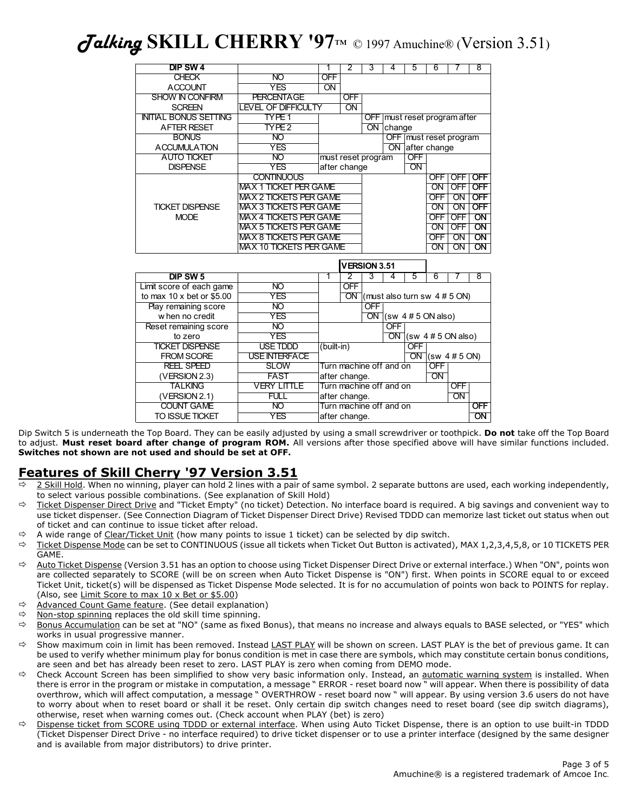*Talking* **SKILL CHERRY '97**™ © 1997 Amuchine® (Version 3.51)

| DIP SW <sub>4</sub>              |                                | 1               | $\overline{2}$          | 3                   | 4          | 5                        | 6                                | 7                               | $\overline{8}$         |  |
|----------------------------------|--------------------------------|-----------------|-------------------------|---------------------|------------|--------------------------|----------------------------------|---------------------------------|------------------------|--|
| <b>CHECK</b>                     | <b>NO</b>                      | <b>OFF</b>      |                         |                     |            |                          |                                  |                                 |                        |  |
| <b>ACCOUNT</b>                   | <b>YES</b>                     | $\overline{ON}$ |                         |                     |            |                          |                                  |                                 |                        |  |
| <b>SHOW IN CONFIRM</b>           | <b>PERCENTAGE</b>              |                 | <b>OFF</b>              |                     |            |                          |                                  |                                 |                        |  |
| <b>SCREEN</b>                    | <b>LEVEL OF DIFFICULTY</b>     |                 | $\overline{ON}$         |                     |            |                          |                                  |                                 |                        |  |
| <b>INITIAL BONUS SETTING</b>     | TYPE <sub>1</sub>              |                 |                         | OFF                 |            | must reset program after |                                  |                                 |                        |  |
| <b>AFTER RESET</b>               | TYPE <sub>2</sub>              |                 |                         | $\overline{ON}$     | change     |                          |                                  |                                 |                        |  |
| <b>BONUS</b>                     | <b>NO</b>                      |                 |                         |                     |            |                          |                                  | OFF   must reset program        |                        |  |
| <b>ACCUMULATION</b>              | <b>YES</b>                     |                 |                         |                     |            |                          | ON after change                  |                                 |                        |  |
| <b>AUTO TICKET</b>               | $\overline{NO}$                |                 | must reset program      |                     |            | <b>OFF</b>               |                                  |                                 |                        |  |
| <b>DISPENSE</b>                  | <b>YES</b>                     |                 | after change            |                     |            | $\overline{ON}$          |                                  |                                 |                        |  |
|                                  | <b>CONTINUOUS</b>              |                 |                         |                     |            |                          | <b>OFF</b>                       | <b>OFF</b>                      | <b>OFF</b>             |  |
|                                  | <b>MAX 1 TICKET PER GAME</b>   |                 |                         |                     |            |                          | ON                               | <b>OFF</b>                      | <b>OFF</b>             |  |
|                                  | <b>MAX 2 TICKETS PER GAME</b>  |                 |                         |                     |            |                          | <b>OFF</b>                       | ON                              | <b>OFF</b>             |  |
| <b>TICKET DISPENSE</b>           | <b>MAX 3 TICKETS PER GAME</b>  |                 |                         |                     |            |                          | $\overline{ON}$                  | $\overline{ON}$                 | <b>OFF</b>             |  |
| <b>MODE</b>                      | <b>MAX 4 TICKETS PER GAME</b>  |                 |                         |                     |            |                          | <b>OFF</b>                       | <b>OFF</b>                      | $\overline{ON}$        |  |
|                                  | <b>MAX 5 TICKETS PER GAME</b>  |                 |                         |                     |            |                          | ON                               | <b>OFF</b>                      | $\overline{ON}$        |  |
|                                  | <b>MAX 8 TICKETS PER GAME</b>  |                 |                         |                     |            |                          | <b>OFF</b>                       | $\overline{ON}$                 | $\overline{\text{ON}}$ |  |
|                                  | <b>MAX 10 TICKETS PER GAME</b> |                 |                         |                     |            |                          | $\overline{ON}$                  | $\overline{ON}$                 | $\overline{ON}$        |  |
|                                  |                                |                 |                         | <b>VERSION 3.51</b> |            |                          |                                  |                                 |                        |  |
|                                  |                                |                 |                         |                     |            |                          |                                  |                                 |                        |  |
| DIP SW <sub>5</sub>              |                                | 1               | 2                       | 3                   | 4          | 5                        | 6                                | 7                               | 8                      |  |
| Limit score of each game         | $\overline{NO}$                |                 | <b>OFF</b>              |                     |            |                          |                                  |                                 |                        |  |
| to max $10 \times$ bet or \$5.00 | <b>YES</b>                     |                 | $\overline{ON}$         |                     |            |                          |                                  | (must also turn sw $4 \# 5$ ON) |                        |  |
| Play remaining score             | $\overline{NO}$                |                 |                         | <b>OFF</b>          |            |                          |                                  |                                 |                        |  |
| when no credit                   | $\overline{YES}$               |                 |                         |                     |            |                          | $\overline{ON}$ (sw 4#5 ON also) |                                 |                        |  |
| Reset remaining score            | $\overline{NO}$                |                 |                         |                     | <b>OFF</b> |                          |                                  |                                 |                        |  |
| to zero                          | YES                            |                 |                         |                     |            |                          |                                  | ON $ (sw 4 # 5 ON also) $       |                        |  |
| <b>TICKET DISPENSE</b>           | <b>USE TDDD</b>                | (built-in)      |                         |                     |            | OFF                      |                                  |                                 |                        |  |
| <b>FROM SCORE</b>                | <b>USE INTERFACE</b>           |                 |                         |                     |            | $\overline{ON}$          |                                  | (sw 4 # 5 ON)                   |                        |  |
| <b>REEL SPEED</b>                | <b>SLOW</b>                    |                 | Turn machine off and on |                     |            |                          | <b>OFF</b>                       |                                 |                        |  |
| (VERSION 2.3)                    | <b>FAST</b>                    |                 | after change.           |                     |            |                          | $\overline{ON}$                  |                                 |                        |  |
| <b>TALKING</b>                   | <b>VERY LITTLE</b>             |                 | Turn machine off and on |                     |            |                          |                                  | <b>OFF</b>                      |                        |  |
| (VERSION 2.1)                    | <b>FULL</b>                    |                 | after change.           |                     |            |                          |                                  | $\overline{ON}$                 |                        |  |
| <b>COUNT GAME</b>                | $\overline{NO}$                |                 | Turn machine off and on |                     |            |                          |                                  |                                 | <b>OFF</b>             |  |

Dip Switch 5 is underneath the Top Board. They can be easily adjusted by using a small screwdriver or toothpick. **Do not** take off the Top Board to adjust. **Must reset board after change of program ROM.** All versions after those specified above will have similar functions included. **Switches not shown are not used and should be set at OFF.**

COUNT GAME NO Turn machine off and on TO ISSUE TICKET THE STATE RESERVED FOR A LIFE After change.

## **Features of Skill Cherry '97 Version 3.51**

- 2 Skill Hold. When no winning, player can hold 2 lines with a pair of same symbol. 2 separate buttons are used, each working independently, to select various possible combinations. (See explanation of Skill Hold)
- $\Rightarrow$  Ticket Dispenser Direct Drive and "Ticket Empty" (no ticket) Detection. No interface board is required. A big savings and convenient way to use ticket dispenser. (See Connection Diagram of Ticket Dispenser Direct Drive) Revised TDDD can memorize last ticket out status when out of ticket and can continue to issue ticket after reload.
- $\Rightarrow$  A wide range of Clear/Ticket Unit (how many points to issue 1 ticket) can be selected by dip switch.
- $\Rightarrow$  Ticket Dispense Mode can be set to CONTINUOUS (issue all tickets when Ticket Out Button is activated), MAX 1,2,3,4,5,8, or 10 TICKETS PER GAME.
- $\Rightarrow$  Auto Ticket Dispense (Version 3.51 has an option to choose using Ticket Dispenser Direct Drive or external interface.) When "ON", points won are collected separately to SCORE (will be on screen when Auto Ticket Dispense is "ON") first. When points in SCORE equal to or exceed Ticket Unit, ticket(s) will be dispensed as Ticket Dispense Mode selected. It is for no accumulation of points won back to POINTS for replay. (Also, see Limit Score to max 10 x Bet or \$5.00)
- $\Rightarrow$  Advanced Count Game feature. (See detail explanation)
- $\Rightarrow$  Non-stop spinning replaces the old skill time spinning.
- $⇒$  Bonus Accumulation can be set at "NO" (same as fixed Bonus), that means no increase and always equals to BASE selected, or "YES" which works in usual progressive manner.
- $\Rightarrow$  Show maximum coin in limit has been removed. Instead LAST PLAY will be shown on screen. LAST PLAY is the bet of previous game. It can be used to verify whether minimum play for bonus condition is met in case there are symbols, which may constitute certain bonus conditions, are seen and bet has already been reset to zero. LAST PLAY is zero when coming from DEMO mode.
- $\Rightarrow$  Check Account Screen has been simplified to show very basic information only. Instead, an automatic warning system is installed. When there is error in the program or mistake in computation, a message " ERROR - reset board now " will appear. When there is possibility of data overthrow, which will affect computation, a message " OVERTHROW - reset board now " will appear. By using version 3.6 users do not have to worry about when to reset board or shall it be reset. Only certain dip switch changes need to reset board (see dip switch diagrams), otherwise, reset when warning comes out. (Check account when PLAY (bet) is zero)
- $\Rightarrow$  Dispense ticket from SCORE using TDDD or external interface. When using Auto Ticket Dispense, there is an option to use built-in TDDD (Ticket Dispenser Direct Drive - no interface required) to drive ticket dispenser or to use a printer interface (designed by the same designer and is available from major distributors) to drive printer.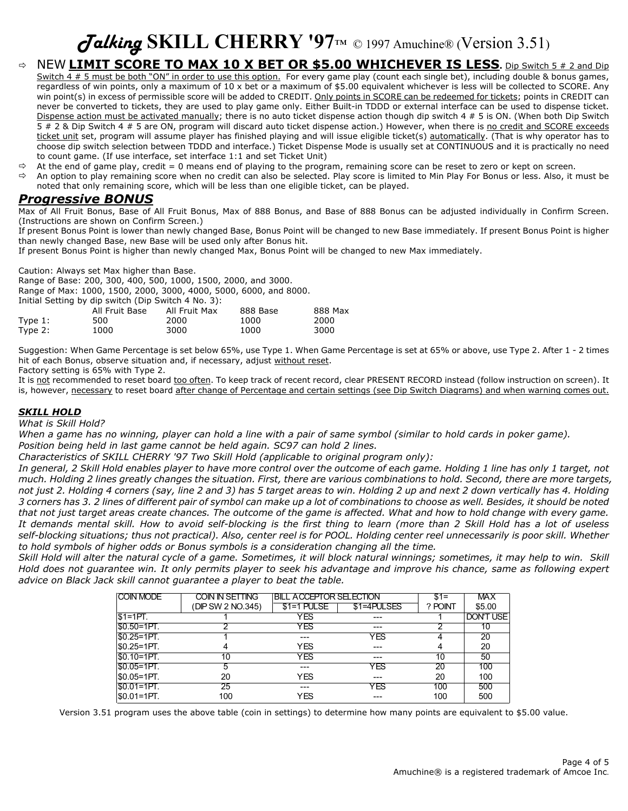## *Talking* **SKILL CHERRY '97**™ © 1997 Amuchine® (Version 3.51)

- Ö NEW **LIMIT SCORE TO MAX 10 X BET OR \$5.00 WHICHEVER IS LESS.** Dip Switch 5 # 2 and Dip Switch  $4 \# 5$  must be both "ON" in order to use this option. For every game play (count each single bet), including double & bonus games, regardless of win points, only a maximum of 10 x bet or a maximum of \$5.00 equivalent whichever is less will be collected to SCORE. Any win point(s) in excess of permissible score will be added to CREDIT. Only points in SCORE can be redeemed for tickets; points in CREDIT can never be converted to tickets, they are used to play game only. Either Built-in TDDD or external interface can be used to dispense ticket. Dispense action must be activated manually; there is no auto ticket dispense action though dip switch 4 # 5 is ON. (When both Dip Switch 5 # 2 & Dip Switch 4 # 5 are ON, program will discard auto ticket dispense action.) However, when there is no credit and SCORE exceeds ticket unit set, program will assume player has finished playing and will issue eligible ticket(s) automatically. (That is why operator has to choose dip switch selection between TDDD and interface.) Ticket Dispense Mode is usually set at CONTINUOUS and it is practically no need to count game. (If use interface, set interface 1:1 and set Ticket Unit)
- $\Rightarrow$  At the end of game play, credit = 0 means end of playing to the program, remaining score can be reset to zero or kept on screen.
- $\Rightarrow$  An option to play remaining score when no credit can also be selected. Play score is limited to Min Play For Bonus or less. Also, it must be noted that only remaining score, which will be less than one eligible ticket, can be played.

## *Progressive BONUS*

Max of All Fruit Bonus, Base of All Fruit Bonus, Max of 888 Bonus, and Base of 888 Bonus can be adjusted individually in Confirm Screen. (Instructions are shown on Confirm Screen.)

If present Bonus Point is lower than newly changed Base, Bonus Point will be changed to new Base immediately. If present Bonus Point is higher than newly changed Base, new Base will be used only after Bonus hit.

If present Bonus Point is higher than newly changed Max, Bonus Point will be changed to new Max immediately.

Caution: Always set Max higher than Base.

Range of Base: 200, 300, 400, 500, 1000, 1500, 2000, and 3000.

Range of Max: 1000, 1500, 2000, 3000, 4000, 5000, 6000, and 8000.

| Initial Setting by dip switch (Dip Switch 4 No. 3):    |      |      |      |      |  |  |  |  |  |
|--------------------------------------------------------|------|------|------|------|--|--|--|--|--|
| 888 Max<br>All Fruit Base<br>888 Base<br>All Fruit Max |      |      |      |      |  |  |  |  |  |
| Type $1:$                                              | 500  | 2000 | 1000 | 2000 |  |  |  |  |  |
| Type $2:$                                              | 1000 | 3000 | 1000 | 3000 |  |  |  |  |  |

Suggestion: When Game Percentage is set below 65%, use Type 1. When Game Percentage is set at 65% or above, use Type 2. After 1 - 2 times hit of each Bonus, observe situation and, if necessary, adjust without reset.

Factory setting is 65% with Type 2.

It is not recommended to reset board too often. To keep track of recent record, clear PRESENT RECORD instead (follow instruction on screen). It is, however, necessary to reset board after change of Percentage and certain settings (see Dip Switch Diagrams) and when warning comes out.

### *SKILL HOLD*

*What is Skill Hold?* 

*When a game has no winning, player can hold a line with a pair of same symbol (similar to hold cards in poker game). Position being held in last game cannot be held again. SC97 can hold 2 lines.* 

*Characteristics of SKILL CHERRY '97 Two Skill Hold (applicable to original program only):* 

*In general, 2 Skill Hold enables player to have more control over the outcome of each game. Holding 1 line has only 1 target, not much. Holding 2 lines greatly changes the situation. First, there are various combinations to hold. Second, there are more targets, not just 2. Holding 4 corners (say, line 2 and 3) has 5 target areas to win. Holding 2 up and next 2 down vertically has 4. Holding 3 corners has 3. 2 lines of different pair of symbol can make up a lot of combinations to choose as well. Besides, it should be noted that not just target areas create chances. The outcome of the game is affected. What and how to hold change with every game. It demands mental skill. How to avoid self-blocking is the first thing to learn (more than 2 Skill Hold has a lot of useless self-blocking situations; thus not practical). Also, center reel is for POOL. Holding center reel unnecessarily is poor skill. Whether to hold symbols of higher odds or Bonus symbols is a consideration changing all the time.* 

*Skill Hold will alter the natural cycle of a game. Sometimes, it will block natural winnings; sometimes, it may help to win. Skill Hold does not guarantee win. It only permits player to seek his advantage and improve his chance, same as following expert advice on Black Jack skill cannot guarantee a player to beat the table.* 

| <b>COIN MODE</b> | COIN IN SETTING   | <b>BILL ACCEPTOR SELECTION</b> | $$1=$       | <b>MAX</b> |                  |
|------------------|-------------------|--------------------------------|-------------|------------|------------------|
|                  | (DIP SW 2 NO.345) | $$1=1$ PULSE                   | \$1=4PULSES | ? POINT    | \$5.00           |
| $S1=1PT$ .       |                   | YES                            |             |            | <b>DON'T USE</b> |
| $ $0.50=1$ PT.   |                   | <b>YES</b>                     | ---         |            | 10               |
| $ $0.25=1$ PT.   |                   |                                | YES         |            | 20               |
| $ $0.25=1$ PT.   |                   | <b>YES</b>                     |             |            | 20               |
| $ $0.10=1$ PT.   | 10                | <b>YES</b>                     |             | 10         | 50               |
| $S0.05 = 1PT$ .  | 5                 |                                | <b>YES</b>  | 20         | 100              |
| \$0.05=1PT.      | 20                | <b>YES</b>                     |             | 20         | 100              |
| $ $0.01=1PT.$    | $\overline{25}$   |                                | YES         | 100        | 500              |
| $ $0.01=1PT.$    | 100               | <b>YES</b>                     |             | 100        | 500              |

Version 3.51 program uses the above table (coin in settings) to determine how many points are equivalent to \$5.00 value.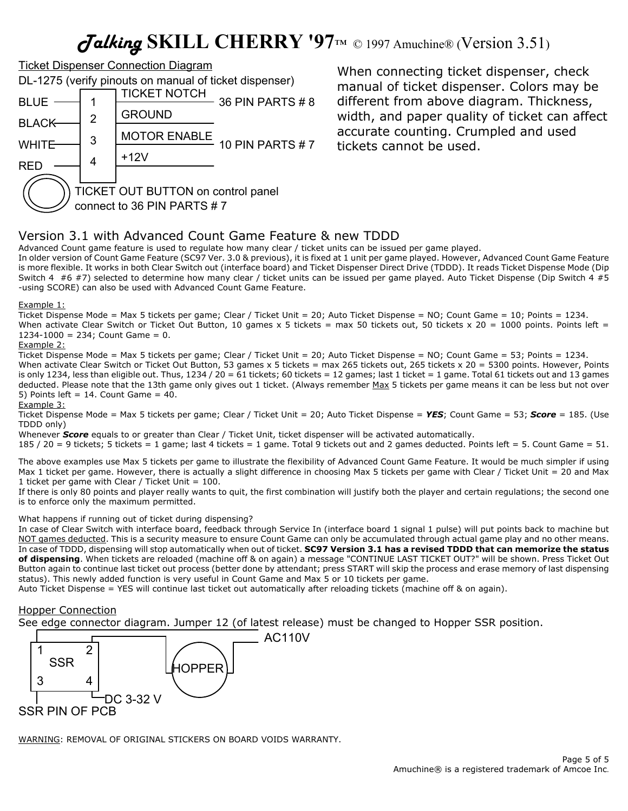## *Talking* **SKILL CHERRY '97**™ © 1997 Amuchine® (Version 3.51)



When connecting ticket dispenser, check manual of ticket dispenser. Colors may be different from above diagram. Thickness, width, and paper quality of ticket can affect accurate counting. Crumpled and used tickets cannot be used.

## Version 3.1 with Advanced Count Game Feature & new TDDD

Advanced Count game feature is used to regulate how many clear / ticket units can be issued per game played.

In older version of Count Game Feature (SC97 Ver. 3.0 & previous), it is fixed at 1 unit per game played. However, Advanced Count Game Feature is more flexible. It works in both Clear Switch out (interface board) and Ticket Dispenser Direct Drive (TDDD). It reads Ticket Dispense Mode (Dip Switch 4 #6 #7) selected to determine how many clear / ticket units can be issued per game played. Auto Ticket Dispense (Dip Switch 4 #5 -using SCORE) can also be used with Advanced Count Game Feature.

#### Example 1:

Ticket Dispense Mode = Max 5 tickets per game; Clear / Ticket Unit = 20; Auto Ticket Dispense = NO; Count Game = 10; Points = 1234. When activate Clear Switch or Ticket Out Button, 10 games x 5 tickets = max 50 tickets out, 50 tickets x 20 = 1000 points. Points left =  $1234-1000 = 234$ ; Count Game = 0.

### Example 2:

Ticket Dispense Mode = Max 5 tickets per game; Clear / Ticket Unit = 20; Auto Ticket Dispense = NO; Count Game = 53; Points = 1234. When activate Clear Switch or Ticket Out Button, 53 games x 5 tickets = max 265 tickets out, 265 tickets x 20 = 5300 points. However, Points is only 1234, less than eligible out. Thus, 1234 / 20 = 61 tickets; 60 tickets = 12 games; last 1 ticket = 1 game. Total 61 tickets out and 13 games deducted. Please note that the 13th game only gives out 1 ticket. (Always remember Max 5 tickets per game means it can be less but not over 5) Points left = 14. Count Game =  $40$ .

Example 3:

Ticket Dispense Mode = Max 5 tickets per game; Clear / Ticket Unit = 20; Auto Ticket Dispense = *YES*; Count Game = 53; *Score* = 185. (Use TDDD only)

Whenever *Score* equals to or greater than Clear / Ticket Unit, ticket dispenser will be activated automatically.

185 / 20 = 9 tickets; 5 tickets = 1 game; last 4 tickets = 1 game. Total 9 tickets out and 2 games deducted. Points left = 5. Count Game = 51.

The above examples use Max 5 tickets per game to illustrate the flexibility of Advanced Count Game Feature. It would be much simpler if using Max 1 ticket per game. However, there is actually a slight difference in choosing Max 5 tickets per game with Clear / Ticket Unit = 20 and Max 1 ticket per game with Clear / Ticket Unit  $= 100$ .

If there is only 80 points and player really wants to quit, the first combination will justify both the player and certain regulations; the second one is to enforce only the maximum permitted.

### What happens if running out of ticket during dispensing?

In case of Clear Switch with interface board, feedback through Service In (interface board 1 signal 1 pulse) will put points back to machine but NOT games deducted. This is a security measure to ensure Count Game can only be accumulated through actual game play and no other means. In case of TDDD, dispensing will stop automatically when out of ticket. **SC97 Version 3.1 has a revised TDDD that can memorize the status of dispensing**. When tickets are reloaded (machine off & on again) a message "CONTINUE LAST TICKET OUT?" will be shown. Press Ticket Out Button again to continue last ticket out process (better done by attendant; press START will skip the process and erase memory of last dispensing status). This newly added function is very useful in Count Game and Max 5 or 10 tickets per game.

Auto Ticket Dispense = YES will continue last ticket out automatically after reloading tickets (machine off & on again).

## Hopper Connection

See edge connector diagram. Jumper 12 (of latest release) must be changed to Hopper SSR position.



WARNING: REMOVAL OF ORIGINAL STICKERS ON BOARD VOIDS WARRANTY.